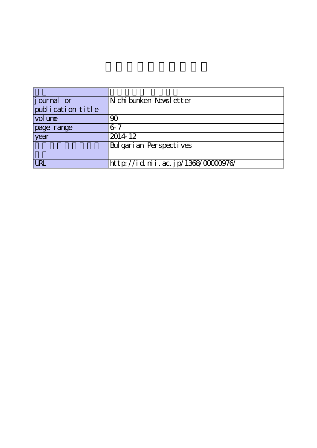| <i>j</i> ournal or | N chi bunken Newsl etter           |
|--------------------|------------------------------------|
| publication title  |                                    |
| vol une            | 90                                 |
| page range         | $6 - 7$                            |
| year               | 2014 12                            |
|                    | Bulgarian Perspectives             |
|                    |                                    |
| <b>URL</b>         | http://id.nii.ac.jp/1368/00000976/ |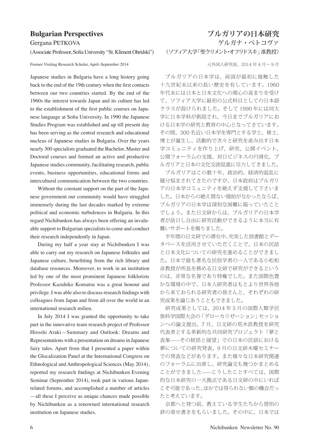## **Bulgarian Perspectives**

Gergana PETKOVA

(Associate Professor, Sofia University "St. Kliment Ohridski")

Former Visiting Research Scholar, April–September 2014 元外国人研究員、2014 年 4 月〜 9 月

Japanese studies in Bulgaria have a long history going back to the end of the 19th century when the first contacts between our two countries started. By the end of the 1960s the interest towards Japan and its culture has led to the establishment of the first public courses on Japanese language at Sofia University. In 1990 the Japanese Studies Program was established and up till present day has been serving as the central research and educational nucleus of Japanese studies in Bulgaria. Over the years nearly 300 specialists graduated the Bachelor, Master and Doctoral courses and formed an active and productive Japanese studies community, facilitating research, public events, business opportunities, educational forms and intercultural communication between the two countries.

Without the constant support on the part of the Japanese government our community would have struggled immensely during the last decades marked by extreme political and economic turbulences in Bulgaria. In this regard Nichibunken has always been offering an invaluable support to Bulgarian specialists to come and conduct their research independently in Japan.

During my half a year stay at Nichibunken I was able to carry out my research on Japanese folktales and Japanese culture, benefitting from the rich library and database resources. Moreover, to work in an institution led by one of the most prominent Japanese folklorists Professor Kazuhiko Komatsu was a great honour and privilege. I was able also to discuss research findings with colleagues from Japan and from all over the world in an international research milieu.

In July 2014 I was granted the opportunity to take part in the innovative team research project of Professor Hiroshi Araki—Summary and Outlook: Dreams and Representations with a presentation on dreams in Japanese fairy tales. Apart from that I presented a paper within the Glocalization Panel at the International Congress on Ethnological and Anthropological Sciences (May 2014), reported my research findings at Nichibunken Evening Seminar (September 2014), took part in various Japanrelated forums, and accomplished a number of articles —all these I perceive as unique chances made possible by Nichibunken as a renowned international research institution on Japanese studies.

## **ブルガリアの日本研究** ゲルガナ・ペトコヴァ (ソフィア大学「聖クリメント・オフリドスキ」准教授)

ブルガリアの日本学は、両国が最初に接触した 十九世紀末以来の長い歴史を有しています。1960 年代末には日本と日本文化への関心の高まりを受け て、ソフィア大学に最初の公式科目としての日本語 クラスが設けられました。そして 1990 年には同大 学に日本学科が創設され、今日までブルガリアにお ける日本学の研究と教育の中心となってきています。 その間、300 名近い日本学を専門とする学士、修士、 博士が誕生し、活動的で次々と研究を産み出す日本 学コミュニティを作り上げ、研究、公開イベント、 公開フォーラムの支援、対日ビジネスの円滑化、ブ ルガリアと日本の文化交流促進に尽力してきました。

ブルガリアはこの数十年、政治的、経済的混乱に 随分悩まされてきたのですが、日本政府はブルガリ アの日本学コミュニティを絶えず支援して下さいま した。日本からの絶え間ない援助がなかったならば、 ブルガリアの日本学は深刻な困難に陥っていたこと でしょう。また日文研からは、ブルガリアの日本学 者が訪日し自由に研究活動ができるように本当に有 難いサポートを賜りました。

半年間の日文研での滞在中、充実した図書館とデー タベースを活用させていただくことで、日本の民話 と日本文化についての研究を進めることができまし た。日本で最も著名な民俗学者の一人である小松和 彦教授が所長を務める日文研で研究ができるという のは、非常な名誉であり特権でした。また国際色豊 かな環境の中で、日本人研究者はもとより世界各地 から来ておられる研究者の皆さんと、それぞれの研 究成果を論じあうこともできました。

研究成果としては、2014 年 5 月の国際人類学民 族科学国際大会の「グローカリゼーション」セッショ ンへの論文提出、7 月、日文研の荒木浩教授を研究 代表者とする革新的な共同研究プロジェクト「夢と 表象——その統括と展望」での日本の民話における 夢についての研究発表、9 月の日文研木曜セミナー での発表などがあります。また様々な日本研究関連 のフォーラムに出席し、研究論文も幾つかまとめる ことができました——こうしたことすべては、国際 的な日本研究の一大拠点である日文研の中にいれば こそ可能であった、ほかでは得られない類の機会だっ たと考えています。

京都へと発つ前、教えている学生たちから惜別の 辞の寄せ書きをもらいました。その中に、日本では